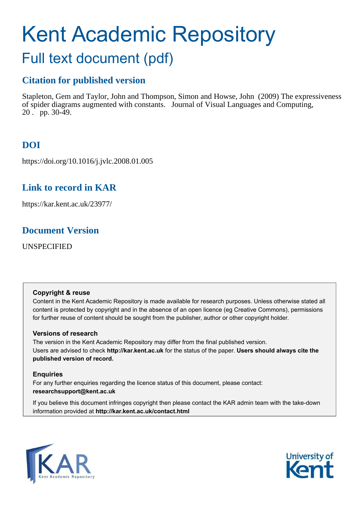# Kent Academic Repository Full text document (pdf)

# **Citation for published version**

Stapleton, Gem and Taylor, John and Thompson, Simon and Howse, John (2009) The expressiveness of spider diagrams augmented with constants. Journal of Visual Languages and Computing, 20 . pp. 30-49.

# **DOI**

https://doi.org/10.1016/j.jvlc.2008.01.005

## **Link to record in KAR**

https://kar.kent.ac.uk/23977/

## **Document Version**

UNSPECIFIED

### **Copyright & reuse**

Content in the Kent Academic Repository is made available for research purposes. Unless otherwise stated all content is protected by copyright and in the absence of an open licence (eg Creative Commons), permissions for further reuse of content should be sought from the publisher, author or other copyright holder.

## **Versions of research**

The version in the Kent Academic Repository may differ from the final published version. Users are advised to check **http://kar.kent.ac.uk** for the status of the paper. **Users should always cite the published version of record.**

## **Enquiries**

For any further enquiries regarding the licence status of this document, please contact: **researchsupport@kent.ac.uk**

If you believe this document infringes copyright then please contact the KAR admin team with the take-down information provided at **http://kar.kent.ac.uk/contact.html**



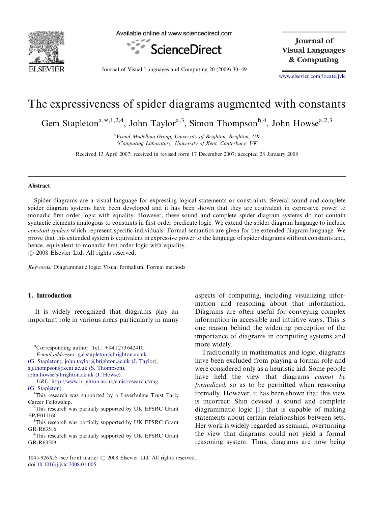<span id="page-1-0"></span>

Available online at www.sciencedirect.com



 **Journal of Visual Languages & Computing**

Journal of Visual Languages and Computing 20 (2009) 30–49

<www.elsevier.com/locate/jvlc>

## The expressiveness of spider diagrams augmented with constants

Gem Stapleton<sup>a,\*,1,2,4</sup>, John Taylor<sup>a,3</sup>, Simon Thompson<sup>b,4</sup>, John Howse<sup>a,2,3</sup>

<sup>a</sup>*Visual Modelling Group, University of Brighton, Brighton, UK* <sup>b</sup>*Computing Laboratory, University of Kent, Canterbury, UK*

Received 13 April 2007; received in revised form 17 December 2007; accepted 28 January 2008

#### Abstract

Spider diagrams are a visual language for expressing logical statements or constraints. Several sound and complete spider diagram systems have been developed and it has been shown that they are equivalent in expressive power to monadic first order logic with equality. However, these sound and complete spider diagram systems do not contain syntactic elements analogous to constants in first order predicate logic. We extend the spider diagram language to include *constant spiders* which represent specific individuals. Formal semantics are given for the extended diagram language. We prove that this extended system is equivalent in expressive power to the language of spider diagrams without constants and, hence, equivalent to monadic first order logic with equality.

 $O$  2008 Elsevier Ltd. All rights reserved.

*Keywords:* Diagrammatic logic; Visual formalism; Formal methods

#### 1. Introduction

It is widely recognized that diagrams play an important role in various areas particularly in many aspects of computing, including visualizing information and reasoning about that information. Diagrams are often useful for conveying complex information in accessible and intuitive ways. This is one reason behind the widening perception of the importance of diagrams in computing systems and more widely.

Traditionally in mathematics and logic, diagrams have been excluded from playing a formal role and were considered only as a heuristic aid. Some people have held the view that diagrams *cannot be formalized*, so as to be permitted when reasoning formally. However, it has been shown that this view is incorrect: Shin devised a sound and complete diagrammatic logic [\[1\]](#page-19-0) that is capable of making statements about certain relationships between sets. Her work is widely regarded as seminal, overturning the view that diagrams could not yield a formal reasoning system. Thus, diagrams are now being

 $\overline{\text{''Corresponding author}}$ . Tel.:  $+44$  1273 642410.

*E-mail addresses:* [g.e.stapleton@brighton.ac.uk](mailto:g.e.stapleton@brighton.ac.uk)

[<sup>\(</sup>G. Stapleton\)](mailto:g.e.stapleton@brighton.ac.uk), [john.taylor@brighton.ac.uk \(J. Taylor\),](mailto:john.taylor@brighton.ac.uk)

[s.j.thompson@kent.ac.uk \(S. Thompson\)](mailto:s.j.thompson@kent.ac.uk),

[john.howse@brighton.ac.uk \(J. Howse\).](mailto:john.howse@brighton.ac.uk)

*URL:* <http://www.brighton.ac.uk/cmis/research/vmg> [\(G. Stapleton\).](http://www.brighton.ac.uk/cmis/research/vmg)

This research was supported by a Leverhulme Trust Early Career Fellowship.

 $2$ This research was partially supported by UK EPSRC Grant EP/E011160.

<sup>&</sup>lt;sup>3</sup>This research was partially supported by UK EPSRC Grant GR/R63516.

<sup>&</sup>lt;sup>4</sup>This research was partially supported by UK EPSRC Grant GR/R63509.

<sup>1045-926</sup>X/\$ - see front matter  $\odot$  2008 Elsevier Ltd. All rights reserved. doi[:10.1016/j.jvlc.2008.01.005](dx.doi.org/10.1016/j.jvlc.2008.01.005)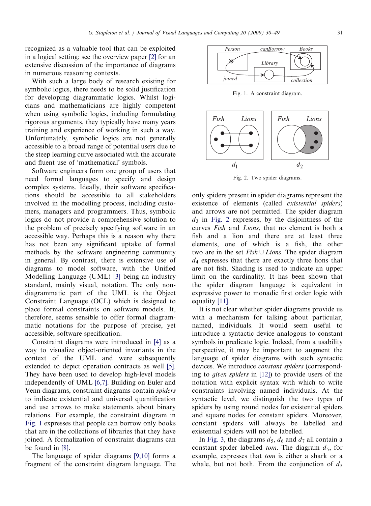<span id="page-2-0"></span>recognized as a valuable tool that can be exploited in a logical setting; see the overview paper [\[2\]](#page-19-0) for an extensive discussion of the importance of diagrams in numerous reasoning contexts.

With such a large body of research existing for symbolic logics, there needs to be solid justification for developing diagrammatic logics. Whilst logicians and mathematicians are highly competent when using symbolic logics, including formulating rigorous arguments, they typically have many years training and experience of working in such a way. Unfortunately, symbolic logics are not generally accessible to a broad range of potential users due to the steep learning curve associated with the accurate and fluent use of 'mathematical' symbols.

Software engineers form one group of users that need formal languages to specify and design complex systems. Ideally, their software specifications should be accessible to all stakeholders involved in the modelling process, including customers, managers and programmers. Thus, symbolic logics do not provide a comprehensive solution to the problem of precisely specifying software in an accessible way. Perhaps this is a reason why there has not been any significant uptake of formal methods by the software engineering community in general. By contrast, there is extensive use of diagrams to model software, with the Unified Modelling Language (UML) [\[3\]](#page-19-0) being an industry standard, mainly visual, notation. The only nondiagrammatic part of the UML is the Object Constraint Language (OCL) which is designed to place formal constraints on software models. It, therefore, seems sensible to offer formal diagrammatic notations for the purpose of precise, yet accessible, software specification.

Constraint diagrams were introduced in [\[4\]](#page-19-0) as a way to visualize object-oriented invariants in the context of the UML and were subsequently extended to depict operation contracts as well [\[5\]](#page-19-0). They have been used to develop high-level models independently of UML [\[6,7\]](#page-19-0). Building on Euler and Venn diagrams, constraint diagrams contain *spiders* to indicate existential and universal quantification and use arrows to make statements about binary relations. For example, the constraint diagram in [Fig. 1](#page-1-0) expresses that people can borrow only books that are in the collections of libraries that they have joined. A formalization of constraint diagrams can be found in [\[8\].](#page-19-0)

The language of spider diagrams [\[9,10\]](#page-19-0) forms a fragment of the constraint diagram language. The

only spiders present in spider diagrams represent the existence of elements (called *existential spiders*) and arrows are not permitted. The spider diagram  $d_3$  in [Fig. 2](#page-1-0) expresses, by the disjointness of the curves *Fish* and *Lions*, that no element is both a fish and a lion and there are at least three elements, one of which is a fish, the other two are in the set  $Fish \cup Lions$ . The spider diagram *d*<sup>4</sup> expresses that there are exactly three lions that are not fish. Shading is used to indicate an upper limit on the cardinality. It has been shown that the spider diagram language is equivalent in expressive power to monadic first order logic with equality [\[11\].](#page-19-0)

It is not clear whether spider diagrams provide us with a mechanism for talking about particular, named, individuals. It would seem useful to introduce a syntactic device analogous to constant symbols in predicate logic. Indeed, from a usability perspective, it may be important to augment the language of spider diagrams with such syntactic devices. We introduce *constant spiders* (corresponding to *given spiders* in [\[12\]](#page-19-0)) to provide users of the notation with explicit syntax with which to write constraints involving named individuals. At the syntactic level, we distinguish the two types of spiders by using round nodes for existential spiders and square nodes for constant spiders. Moreover, constant spiders will always be labelled and existential spiders will not be labelled.

In Fig. 3, the diagrams  $d_5$ ,  $d_6$  and  $d_7$  all contain a constant spider labelled *tom*. The diagram  $d_5$ , for example, expresses that *tom* is either a shark or a whale, but not both. From the conjunction of  $d_5$ 

 $d_1$  $d_2$ 

Fig. 2. Two spider diagrams.



*Person canBorrow Books*

*Library*

*collection*

*joined*

*G. Stapleton et al. / Journal of Visual Languages and Computing 20 (2009) 30–49* 31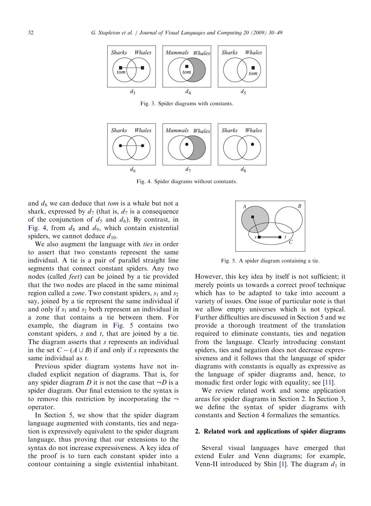<span id="page-3-0"></span>

Fig. 3. Spider diagrams with constants.



Fig. 4. Spider diagrams without constants.

and  $d_6$  we can deduce that *tom* is a whale but not a shark, expressed by  $d_7$  (that is,  $d_7$  is a consequence of the conjunction of  $d_5$  and  $d_6$ ). By contrast, in [Fig. 4,](#page-2-0) from  $d_8$  and  $d_9$ , which contain existential spiders, we cannot deduce  $d_{10}$ .

We also augment the language with *ties* in order to assert that two constants represent the same individual. A tie is a pair of parallel straight line segments that connect constant spiders. Any two nodes (called *feet*) can be joined by a tie provided that the two nodes are placed in the same minimal region called a *zone*. Two constant spiders,  $s_1$  and  $s_2$ say, joined by a tie represent the same individual if and only if  $s_1$  and  $s_2$  both represent an individual in a zone that contains a tie between them. For example, the diagram in [Fig. 5](#page-2-0) contains two constant spiders, *s* and *t*, that are joined by a tie. The diagram asserts that *s* represents an individual in the set  $C - (A \cup B)$  if and only if *s* represents the same individual as *t*.

Previous spider diagram systems have not included explicit negation of diagrams. That is, for any spider diagram *D* it is not the case that  $\neg D$  is a spider diagram. Our final extension to the syntax is to remove this restriction by incorporating the  $\lnot$ operator.

In Section 5, we show that the spider diagram language augmented with constants, ties and negation is expressively equivalent to the spider diagram language, thus proving that our extensions to the syntax do not increase expressiveness. A key idea of the proof is to turn each constant spider into a contour containing a single existential inhabitant.



Fig. 5. A spider diagram containing a tie.

However, this key idea by itself is not sufficient; it merely points us towards a correct proof technique which has to be adapted to take into account a variety of issues. One issue of particular note is that we allow empty universes which is not typical. Further difficulties are discussed in Section 5 and we provide a thorough treatment of the translation required to eliminate constants, ties and negation from the language. Clearly introducing constant spiders, ties and negation does not decrease expressiveness and it follows that the language of spider diagrams with constants is equally as expressive as the language of spider diagrams and, hence, to monadic first order logic with equality; see [\[11\].](#page-19-0)

We review related work and some application areas for spider diagrams in Section 2. In Section 3, we define the syntax of spider diagrams with constants and Section 4 formalizes the semantics.

#### 2. Related work and applications of spider diagrams

Several visual languages have emerged that extend Euler and Venn diagrams; for example, Venn-II introduced by Shin [\[1\].](#page-19-0) The diagram  $d_1$  in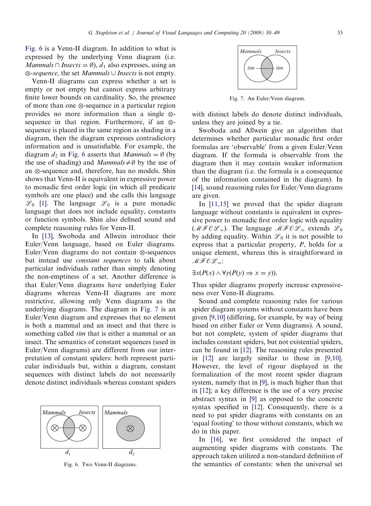<span id="page-4-0"></span>[Fig. 6](#page-3-0) is a Venn-II diagram. In addition to what is expressed by the underlying Venn diagram (i.e. *Mammals*  $\cap$  *Insects* =  $\emptyset$ ,  $d_1$  also expresses, using an  $\otimes$ -*sequence*, the set *Mammals*  $\cup$  *Insects* is not empty.

Venn-II diagrams can express whether a set is empty or not empty but cannot express arbitrary finite lower bounds on cardinality. So, the presence of more than one  $\otimes$ -sequence in a particular region provides no more information than a single  $\otimes$ sequence in that region. Furthermore, if an  $\otimes$ sequence is placed in the same region as shading in a diagram, then the diagram expresses contradictory information and is unsatisfiable. For example, the diagram  $d_2$  in [Fig. 6](#page-3-0) asserts that *Mammals* =  $\emptyset$  (by the use of shading) and *Mammals* $\neq$  *Ø* by the use of an  $\otimes$ -sequence and, therefore, has no models. Shin shows that Venn-II is equivalent in expressive power to monadic first order logic (in which all predicate symbols are one place) and she calls this language  $\mathscr{L}_0$  [\[1\]](#page-19-0). The language  $\mathscr{L}_0$  is a pure monadic language that does not include equality, constants or function symbols. Shin also defined sound and complete reasoning rules for Venn-II.

In [\[13\]](#page-19-0), Swoboda and Allwein introduce their Euler/Venn language, based on Euler diagrams. Euler/Venn diagrams do not contain  $\otimes$ -sequences but instead use *constant sequences* to talk about particular individuals rather than simply denoting the non-emptiness of a set. Another difference is that Euler/Venn diagrams have underlying Euler diagrams whereas Venn-II diagrams are more restrictive, allowing only Venn diagrams as the underlying diagrams. The diagram in [Fig. 7](#page-3-0) is an Euler/Venn diagram and expresses that no element is both a mammal and an insect and that there is something called *tim* that is either a mammal or an insect. The semantics of constant sequences (used in Euler/Venn diagrams) are different from our interpretation of constant spiders: both represent particular individuals but, within a diagram, constant sequences with distinct labels do not necessarily denote distinct individuals whereas constant spiders



Fig. 6. Two Venn-II diagrams.

*Mammals Insects*  $tim \rightarrow tim$ 

Fig. 7. An Euler/Venn diagram.

with distinct labels do denote distinct individuals, unless they are joined by a tie.

Swoboda and Allwein give an algorithm that determines whether particular monadic first order formulas are 'observable' from a given Euler/Venn diagram. If the formula is observable from the diagram then it may contain weaker information than the diagram (i.e. the formula is a consequence of the information contained in the diagram). In [\[14\]](#page-19-0), sound reasoning rules for Euler/Venn diagrams are given.

In [\[11,15\]](#page-19-0) we proved that the spider diagram language without constants is equivalent in expressive power to monadic first order logic with equality (MFOL<sub>=</sub>). The language  $MFOL$ <sub>=</sub> extends  $L_0$ by adding equality. Within  $\mathscr{L}_0$  it is not possible to express that a particular property, *P*, holds for a unique element, whereas this is straightforward in  $MFCL:$ 

 $\exists x(P(x) \land \forall y(P(y) \Rightarrow x = y)).$ 

Thus spider diagrams properly increase expressiveness over Venn-II diagrams.

Sound and complete reasoning rules for various spider diagram systems without constants have been given [\[9,10\]](#page-19-0) (differing, for example, by way of being based on either Euler or Venn diagrams). A sound, but not complete, system of spider diagrams that includes constant spiders, but not existential spiders, can be found in [\[12\].](#page-19-0) The reasoning rules presented in [\[12\]](#page-19-0) are largely similar to those in [\[9,10\]](#page-19-0). However, the level of rigour displayed in the formalization of the most recent spider diagram system, namely that in [\[9\],](#page-19-0) is much higher than that in [\[12\]](#page-19-0); a key difference is the use of a very precise abstract syntax in [\[9\]](#page-19-0) as opposed to the concrete syntax specified in [\[12\]](#page-19-0). Consequently, there is a need to put spider diagrams with constants on an 'equal footing' to those without constants, which we do in this paper.

In [\[16\]](#page-19-0), we first considered the impact of augmenting spider diagrams with constants. The approach taken utilized a non-standard definition of the semantics of constants: when the universal set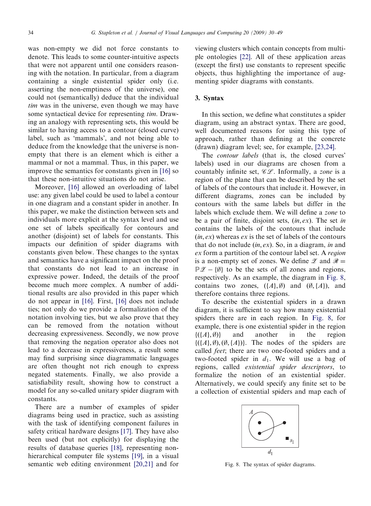was non-empty we did not force constants to denote. This leads to some counter-intuitive aspects that were not apparent until one considers reasoning with the notation. In particular, from a diagram containing a single existential spider only (i.e. asserting the non-emptiness of the universe), one could not (semantically) deduce that the individual *tim* was in the universe, even though we may have some syntactical device for representing *tim*. Drawing an analogy with representing sets, this would be similar to having access to a contour (closed curve) label, such as 'mammals', and not being able to deduce from the knowledge that the universe is nonempty that there is an element which is either a mammal or not a mammal. Thus, in this paper, we improve the semantics for constants given in [\[16\]](#page-19-0) so that these non-intuitive situations do not arise.

Moreover, [\[16\]](#page-19-0) allowed an overloading of label use: any given label could be used to label a contour in one diagram and a constant spider in another. In this paper, we make the distinction between sets and individuals more explicit at the syntax level and use one set of labels specifically for contours and another (disjoint) set of labels for constants. This impacts our definition of spider diagrams with constants given below. These changes to the syntax and semantics have a significant impact on the proof that constants do not lead to an increase in expressive power. Indeed, the details of the proof become much more complex. A number of additional results are also provided in this paper which do not appear in [\[16\]](#page-19-0). First, [\[16\]](#page-19-0) does not include ties; not only do we provide a formalization of the notation involving ties, but we also prove that they can be removed from the notation without decreasing expressiveness. Secondly, we now prove that removing the negation operator also does not lead to a decrease in expressiveness, a result some may find surprising since diagrammatic languages are often thought not rich enough to express negated statements. Finally, we also provide a satisfiability result, showing how to construct a model for any so-called unitary spider diagram with constants.

There are a number of examples of spider diagrams being used in practice, such as assisting with the task of identifying component failures in safety critical hardware designs [\[17\].](#page-19-0) They have also been used (but not explicitly) for displaying the results of database queries [\[18\],](#page-19-0) representing nonhierarchical computer file systems [\[19\]](#page-19-0), in a visual semantic web editing environment [\[20,21\]](#page-19-0) and for viewing clusters which contain concepts from multiple ontologies [\[22\].](#page-19-0) All of these application areas (except the first) use constants to represent specific objects, thus highlighting the importance of augmenting spider diagrams with constants.

#### 3. Syntax

In this section, we define what constitutes a spider diagram, using an abstract syntax. There are good, well documented reasons for using this type of approach, rather than defining at the concrete (drawn) diagram level; see, for example, [\[23,24\].](#page-19-0)

The *contour labels* (that is, the closed curves' labels) used in our diagrams are chosen from a countably infinite set,  $\mathscr{CL}$ . Informally, a *zone* is a region of the plane that can be described by the set of labels of the contours that include it. However, in different diagrams, zones can be included by contours with the same labels but differ in the labels which exclude them. We will define a *zone* to be a pair of finite, disjoint sets,  $(in, ex)$ . The set *in* contains the labels of the contours that include  $(in, ex)$  whereas  $ex$  is the set of labels of the contours that do not include (*in*, *ex*). So, in a diagram, *in* and *ex* form a partition of the contour label set. A *region* is a non-empty set of zones. We define  $\mathscr X$  and  $\mathscr R$  =  $\mathbb{P}\mathscr{Z} - \{\emptyset\}$  to be the sets of all zones and regions, respectively. As an example, the diagram in [Fig. 8,](#page-4-0) contains two zones,  $(\lbrace A \rbrace, \emptyset)$  and  $(\emptyset, \lbrace A \rbrace)$ , and therefore contains three regions.

To describe the existential spiders in a drawn diagram, it is sufficient to say how many existential spiders there are in each region. In [Fig. 8](#page-4-0), for example, there is one existential spider in the region  $\{(\lbrace A \rbrace, \emptyset)\}$  and another in the region  $\{(\lbrace A \rbrace, \emptyset), (\emptyset, \lbrace A \rbrace)\}.$  The nodes of the spiders are called *feet*; there are two one-footed spiders and a two-footed spider in  $d_1$ . We will use a bag of regions, called *existential spider descriptors*, to formalize the notion of an existential spider. Alternatively, we could specify any finite set to be a collection of existential spiders and map each of



Fig. 8. The syntax of spider diagrams.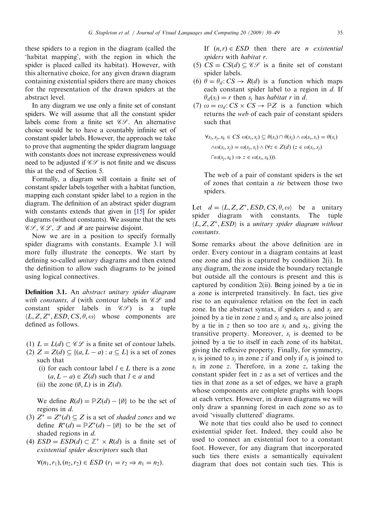<span id="page-6-0"></span>these spiders to a region in the diagram (called the 'habitat mapping', with the region in which the spider is placed called its habitat). However, with this alternative choice, for any given drawn diagram containing existential spiders there are many choices for the representation of the drawn spiders at the abstract level.

In any diagram we use only a finite set of constant spiders. We will assume that all the constant spider labels come from a finite set  $\mathscr{CF}$ . An alternative choice would be to have a countably infinite set of constant spider labels. However, the approach we take to prove that augmenting the spider diagram language with constants does not increase expressiveness would need to be adjusted if  $\mathcal{CF}$  is not finite and we discuss this at the end of Section 5.

Formally, a diagram will contain a finite set of constant spider labels together with a habitat function, mapping each constant spider label to a region in the diagram. The definition of an abstract spider diagram with constants extends that given in [\[15\]](#page-19-0) for spider diagrams (without constants). We assume that the sets  $\mathscr{CF}, \mathscr{CL}, \mathscr{Z}$  and  $\mathscr{R}$  are pairwise disjoint.

Now we are in a position to specify formally spider diagrams with constants. Example 3.1 will more fully illustrate the concepts. We start by defining so-called *unitary* diagrams and then extend the definition to allow such diagrams to be joined using logical connectives.

Definition 3.1. An *abstract unitary spider diagram with constants, d* (with contour labels in  $\mathcal{GF}$  and constant spider labels in  $\mathscr{CF}$  is a tuple  $\langle L, Z, Z^*, ESD, CS, \theta, \omega \rangle$  whose components are defined as follows.

(1)  $L = L(d) \subset \mathscr{CL}$  is a finite set of contour labels.

- $Z(Z)$   $Z = Z(d) \subseteq \{(a, L a) : a \subseteq L\}$  is a set of zones such that
	- (i) for each contour label  $l \in L$  there is a zone  $(a, L - a) \in Z(d)$  such that  $l \in a$  and
	- (ii) the zone  $(\emptyset, L)$  is in  $Z(d)$ .

We define  $R(d) = \mathbb{P}Z(d) - \{\emptyset\}$  to be the set of regions in *d*.

- (3)  $Z^* = Z^*(d) \subseteq Z$  is a set of *shaded zones* and we define  $R^*(d) = \mathbb{P}Z^*(d) - \{\emptyset\}$  to be the set of shaded regions in *d*.
- (4)  $ESD = ESD(d) \subset \mathbb{Z}^+ \times R(d)$  is a finite set of *existential spider descriptors* such that

 $\forall (n_1, r_1), (n_2, r_2) \in ESD \ (r_1 = r_2 \Rightarrow n_1 = n_2).$ 

If  $(n, r) \in ESD$  then there are *n* existential *spiders* with *habitat r*.

- (5)  $CS = CS(d) \subseteq \mathcal{CF}$  is a finite set of constant spider labels.
- (6)  $\theta = \theta_d$ : *CS*  $\rightarrow$  *R*(*d*) is a function which maps each constant spider label to a region in *d*. If  $\theta_d(s_i) = r$  then *s<sub>i</sub>* has *habitat r* in *d*.
- (7)  $\omega = \omega_d$ :  $CS \times CS \rightarrow \mathbb{P}Z$  is a function which returns the *web* of each pair of constant spiders such that

$$
\forall s_i, s_j, s_k \in CS \omega(s_i, s_j) \subseteq \theta(s_i) \cap \theta(s_j) \wedge \omega(s_i, s_i) = \theta(s_i)
$$
  
 
$$
\wedge \omega(s_i, s_j) = \omega(s_j, s_i) \wedge (\forall z \in Z(d) \ (z \in \omega(s_i, s_j)
$$
  
\n
$$
\cap \omega(s_j, s_k) \Rightarrow z \in \omega(s_i, s_k))).
$$

The web of a pair of constant spiders is the set of zones that contain a *tie* between those two spiders.

Let  $d = \langle L, Z, Z^*, ESD, CS, \theta, \omega \rangle$  be a unitary spider diagram with constants. The tuple  $\langle L, Z, Z^*, ESD \rangle$  is a *unitary spider diagram without constants*.

Some remarks about the above definition are in order. Every contour in a diagram contains at least one zone and this is captured by condition 2(i). In any diagram, the zone inside the boundary rectangle but outside all the contours is present and this is captured by condition 2(ii). Being joined by a tie in a zone is interpreted transitively. In fact, ties give rise to an equivalence relation on the feet in each zone. In the abstract syntax, if spiders  $s_i$  and  $s_j$  are joined by a tie in zone *z* and  $s_i$  and  $s_k$  are also joined by a tie in *z* then so too are  $s_i$  and  $s_k$ , giving the transitive property. Moreover,  $s_i$  is deemed to be joined by a tie to itself in each zone of its habitat, giving the reflexive property. Finally, for symmetry,  $s_i$  is joined to  $s_j$  in zone *z* if and only if  $s_j$  is joined to *si* in zone *z*. Therefore, in a zone *z*, taking the constant spider feet in *z* as a set of vertices and the ties in that zone as a set of edges, we have a graph whose components are complete graphs with loops at each vertex. However, in drawn diagrams we will only draw a spanning forest in each zone so as to avoid 'visually cluttered' diagrams.

We note that ties could also be used to connect existential spider feet. Indeed, they could also be used to connect an existential foot to a constant foot. However, for any diagram that incorporated such ties there exists a semantically equivalent diagram that does not contain such ties. This is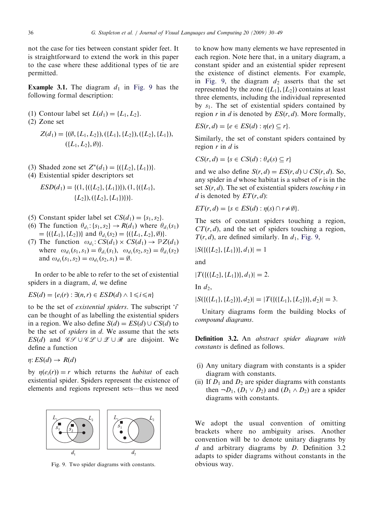not the case for ties between constant spider feet. It is straightforward to extend the work in this paper to the case where these additional types of tie are permitted.

**Example 3.1.** The diagram  $d_1$  in [Fig. 9](#page-6-0) has the following formal description:

- (1) Contour label set  $L(d_1) = \{L_1, L_2\}$ .
- (2) Zone set
	- $Z(d_1) = \{ (\emptyset, \{L_1, L_2\}), (\{L_1\}, \{L_2\}), (\{L_2\}, \{L_1\}),$  $({L_1, L_2}, \emptyset)$ .
- (3) Shaded zone set  $Z^*(d_1) = \{ (\{L_2\}, \{L_1\}) \}.$
- (4) Existential spider descriptors set

$$
ESD(d_1) = \{ (1, \{ (\{L_2\}, \{L_1\}) \}), (1, \{ (\{L_1\}, \{L_2\}), (\{L_2\}, \{L_1\}) \}) \}.
$$

- (5) Constant spider label set  $CS(d_1) = \{s_1, s_2\}.$
- (6) The function  $\theta_{d_1}: \{s_1, s_2\} \rightarrow R(d_1)$  where  $\theta_{d_1}(s_1)$  $= \{ (\{L_1\}, \{L_2\}) \}$  and  $\theta_{d_1}(s_2) = \{ (\{L_1, L_2\}, \emptyset) \}$ .
- (7) The function  $\omega_{d_1}$ :  $CS(d_1) \times CS(d_1) \rightarrow \mathbb{P}Z(d_1)$ where  $\omega_{d_1}(s_1, s_1) = \theta_{d_1}(s_1), \ \omega_{d_1}(s_2, s_2) = \theta_{d_1}(s_2)$ and  $\omega_{d_1}(s_1, s_2) = \omega_{d_1}(s_2, s_1) = \emptyset$ .

In order to be able to refer to the set of existential spiders in a diagram, *d*, we define

 $ES(d) = \{e_i(r) : \exists (n, r) \in ESD(d) \land 1 \leq i \leq n\}$ 

to be the set of *existential spiders*. The subscript '*i*' can be thought of as labelling the existential spiders in a region. We also define  $S(d) = ES(d) \cup CS(d)$  to be the set of *spiders* in *d*. We assume that the sets *ES* $(d)$  and  $\mathscr{CF} \cup \mathscr{CF} \cup \mathscr{Z} \cup \mathscr{R}$  are disjoint. We define a function

 $\eta: ES(d) \rightarrow R(d)$ 

by  $\eta(e_i(r)) = r$  which returns the *habitat* of each existential spider. Spiders represent the existence of elements and regions represent sets—thus we need



Fig. 9. Two spider diagrams with constants.

to know how many elements we have represented in each region. Note here that, in a unitary diagram, a constant spider and an existential spider represent the existence of distinct elements. For example, in [Fig. 9,](#page-6-0) the diagram  $d_2$  asserts that the set represented by the zone  $({L_1}, {L_2})$  contains at least three elements, including the individual represented by *s*1. The set of existential spiders contained by region *r* in *d* is denoted by  $ES(r, d)$ . More formally,

$$
ES(r, d) = \{e \in ES(d) : \eta(e) \subseteq r\}.
$$

Similarly, the set of constant spiders contained by region *r* in *d* is

$$
CS(r, d) = \{s \in CS(d) : \theta_d(s) \subseteq r\}
$$

and we also define  $S(r, d) = ES(r, d) \cup CS(r, d)$ . So, any spider in *d* whose habitat is a subset of *r* is in the set  $S(r, d)$ . The set of existential spiders *touching* r in *d* is denoted by  $ET(r, d)$ :

$$
ET(r, d) = \{s \in ES(d) : \eta(s) \cap r \neq \emptyset\}.
$$

The sets of constant spiders touching a region,  $CT(r, d)$ , and the set of spiders touching a region,  $T(r, d)$ , are defined similarly. In  $d_1$ , [Fig. 9](#page-6-0),

$$
|S(\{(L_2\},\{L_1\})\},d_1)|=1
$$

and

$$
|T(\{(\{L_2\},\{L_1\})\},d_1)|=2.
$$

In  $d_2$ ,

 $|S(\{(L_1), (L_2)\}, d_2)| = |T(\{(L_1), (L_2)\}, d_2)| = 3.$ 

Unitary diagrams form the building blocks of *compound diagrams*.

Definition 3.2. An *abstract spider diagram with constants* is defined as follows.

- (i) Any unitary diagram with constants is a spider diagram with constants.
- (ii) If  $D_1$  and  $D_2$  are spider diagrams with constants then  $\neg D_1$ ,  $(D_1 \vee D_2)$  and  $(D_1 \wedge D_2)$  are a spider diagrams with constants.

We adopt the usual convention of omitting brackets where no ambiguity arises. Another convention will be to denote unitary diagrams by *d* and arbitrary diagrams by *D*. Definition 3.2 adapts to spider diagrams without constants in the obvious way.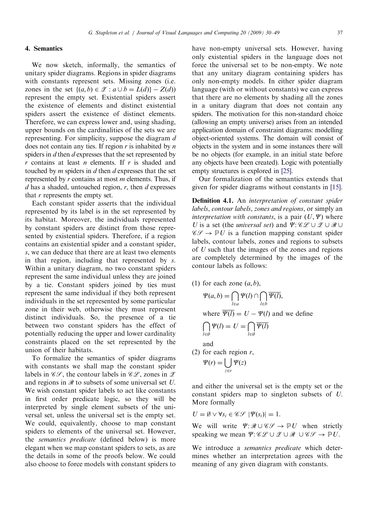#### 4. Semantics

We now sketch, informally, the semantics of unitary spider diagrams. Regions in spider diagrams with constants represent sets. Missing zones (i.e. zones in the set  $\{(a, b) \in \mathcal{Z} : a \cup b = L(d)\} - Z(d)$ represent the empty set. Existential spiders assert the existence of elements and distinct existential spiders assert the existence of distinct elements. Therefore, we can express lower and, using shading, upper bounds on the cardinalities of the sets we are representing. For simplicity, suppose the diagram *d* does not contain any ties. If region *r* is inhabited by *n* spiders in *d* then *d* expresses that the set represented by *r* contains at least *n* elements. If *r* is shaded and touched by *m* spiders in *d* then *d* expresses that the set represented by *r* contains at most *m* elements. Thus, if *d* has a shaded, untouched region, *r*, then *d* expresses that *r* represents the empty set.

Each constant spider asserts that the individual represented by its label is in the set represented by its habitat. Moreover, the individuals represented by constant spiders are distinct from those represented by existential spiders. Therefore, if a region contains an existential spider and a constant spider, *s*, we can deduce that there are at least two elements in that region, including that represented by *s*. Within a unitary diagram, no two constant spiders represent the same individual unless they are joined by a tie. Constant spiders joined by ties must represent the same individual if they both represent individuals in the set represented by some particular zone in their web, otherwise they must represent distinct individuals. So, the presence of a tie between two constant spiders has the effect of potentially reducing the upper and lower cardinality constraints placed on the set represented by the union of their habitats.

To formalize the semantics of spider diagrams with constants we shall map the constant spider labels in  $\mathscr{CF}$ , the contour labels in  $\mathscr{CF}$ , zones in  $\mathscr{Z}$ and regions in  $\mathcal R$  to subsets of some universal set  $U$ . We wish constant spider labels to act like constants in first order predicate logic, so they will be interpreted by single element subsets of the universal set, unless the universal set is the empty set. We could, equivalently, choose to map constant spiders to elements of the universal set. However, the *semantics predicate* (defined below) is more elegant when we map constant spiders to sets, as are the details in some of the proofs below. We could also choose to force models with constant spiders to

have non-empty universal sets. However, having only existential spiders in the language does not force the universal set to be non-empty. We note that any unitary diagram containing spiders has only non-empty models. In either spider diagram language (with or without constants) we can express that there are no elements by shading all the zones in a unitary diagram that does not contain any spiders. The motivation for this non-standard choice (allowing an empty universe) arises from an intended application domain of constraint diagrams: modelling object-oriented systems. The domain will consist of objects in the system and in some instances there will be no objects (for example, in an initial state before any objects have been created). Logic with potentially empty structures is explored in [\[25\].](#page-19-0)

Our formalization of the semantics extends that given for spider diagrams without constants in [\[15\]](#page-19-0).

Definition 4.1. An *interpretation of constant spider labels*, *contour labels*, *zones and regions*, or simply an *interpretation with constants*, is a pair  $(U, \Psi)$  where *U* is a set (the *universal set*) and  $\Psi$ :  $\mathscr{CL} \cup \mathscr{L} \cup \mathscr{R} \cup$  $\mathscr{CF} \to \mathbb{P} U$  is a function mapping constant spider labels, contour labels, zones and regions to subsets of *U* such that the images of the zones and regions are completely determined by the images of the contour labels as follows:

(1) for each zone  $(a, b)$ ,

$$
\Psi(a, b) = \bigcap_{l \in a} \Psi(l) \cap \bigcap_{l \in b} \overline{\Psi(l)},
$$
  
where  $\overline{\Psi(l)} = U - \Psi(l)$  and we define  

$$
\bigcap_{l \in \emptyset} \Psi(l) = U = \bigcap_{l \in \emptyset} \overline{\Psi(l)}
$$

and

(2) for each region *r*,

$$
\Psi(r) = \bigcup_{z \in r} \Psi(z)
$$

and either the universal set is the empty set or the constant spiders map to singleton subsets of *U*. More formally

$$
U = \emptyset \vee \forall s_i \in \mathscr{CF} \, |\Psi(s_i)| = 1.
$$

We will write  $\Psi: \mathcal{R} \cup \mathcal{CF} \rightarrow \mathbb{P}U$  when strictly speaking we mean  $\Psi: \mathcal{CL} \cup \mathcal{L} \cup \mathcal{R} \cup \mathcal{GC} \rightarrow \mathbb{P}U$ .

We introduce a *semantics predicate* which determines whether an interpretation agrees with the meaning of any given diagram with constants.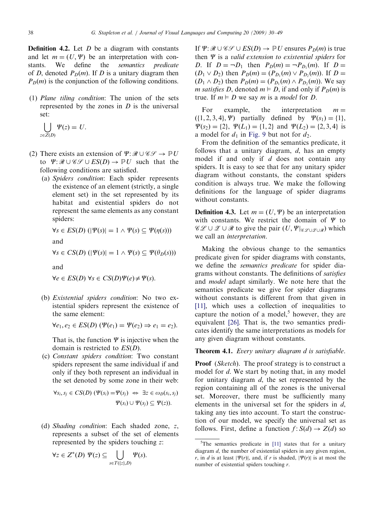**Definition 4.2.** Let *D* be a diagram with constants and let  $m = (U, \Psi)$  be an interpretation with constants. We define the *semantics predicate* define the of *D*, denoted  $P_D(m)$ . If *D* is a unitary diagram then  $P_D(m)$  is the conjunction of the following conditions.

(1) *Plane tiling condition*: The union of the sets represented by the zones in *D* is the universal set:

$$
\bigcup_{z\in Z(D)} \Psi(z) = U.
$$

- (2) There exists an extension of  $\Psi$ :  $\mathcal{R} \cup \mathcal{C} \mathcal{S} \rightarrow \mathbb{P} U$ to  $\Psi$ :  $\mathcal{R} \cup \mathcal{C} \mathcal{S} \cup E S(D) \rightarrow \mathbb{P} U$  such that the following conditions are satisfied.
	- (a) *Spiders condition*: Each spider represents the existence of an element (strictly, a single element set) in the set represented by its habitat and existential spiders do not represent the same elements as any constant spiders:

$$
\forall s \in ES(D) \ (|\Psi(s)| = 1 \land \Psi(s) \subseteq \Psi(\eta(s)))
$$

and

$$
\forall s \in CS(D) \left( |\Psi(s)| = 1 \land \Psi(s) \subseteq \Psi(\theta_D(s)) \right)
$$

and

$$
\forall e \in ES(D) \,\forall s \in CS(D)\Psi(e) \neq \Psi(s).
$$

(b) *Existential spiders condition*: No two existential spiders represent the existence of the same element:

$$
\forall e_1, e_2 \in ES(D) \ (\Psi(e_1) = \Psi(e_2) \Rightarrow e_1 = e_2).
$$

That is, the function  $\Psi$  is injective when the domain is restricted to  $ES(D)$ .

(c) *Constant spiders condition*: Two constant spiders represent the same individual if and only if they both represent an individual in the set denoted by some zone in their web:

$$
\forall s_i, s_j \in CS(D) \left( \Psi(s_i) = \Psi(s_j) \iff \exists z \in \omega_D(s_i, s_j) \right)
$$

$$
\Psi(s_i) \cup \Psi(s_j) \subseteq \Psi(z)).
$$

(d) *Shading condition*: Each shaded zone, *z*, represents a subset of the set of elements represented by the spiders touching *z*:

$$
\forall z \in Z^*(D) \ \Psi(z) \subseteq \bigcup_{s \in T(\{z\}, D)} \Psi(s).
$$

If  $\Psi$ :  $\mathcal{R} \cup \mathcal{C} \mathcal{S} \cup ES(D) \rightarrow \mathbb{P}U$  ensures  $P_D(m)$  is true then  $\Psi$  is a *valid extension to existential spiders* for *D*. If  $D = \neg D_1$  then  $P_D(m) = \neg P_{D_1}(m)$ . If  $D =$  $(D_1 \vee D_2)$  then  $P_D(m) = (P_{D_1}(m) \vee P_{D_2}(m))$ . If  $D =$  $(D_1 \wedge D_2)$  then  $P_D(m) = (P_{D_1}(m) \wedge P_{D_2}(m))$ . We say *m satisfies D*, denoted  $m \models D$ , if and only if  $P_D(m)$  is true. If  $m \models D$  we say *m* is a *model* for *D*.

For example, the interpretation  $m =$  $( \{1, 2, 3, 4\}, \Psi )$  partially defined by  $\Psi(s_1) = \{1\},\$  $\Psi(s_2) = \{2\}, \ \Psi(L_1) = \{1, 2\} \text{ and } \Psi(L_2) = \{2, 3, 4\} \text{ is }$ a model for  $d_1$  in [Fig. 9](#page-6-0) but not for  $d_2$ .

From the definition of the semantics predicate, it follows that a unitary diagram, *d*, has an empty model if and only if *d* does not contain any spiders. It is easy to see that for any unitary spider diagram without constants, the constant spiders condition is always true. We make the following definitions for the language of spider diagrams without constants.

**Definition 4.3.** Let  $m = (U, \Psi)$  be an interpretation with constants. We restrict the domain of  $\Psi$  to  $\mathscr{CL} \cup \mathscr{L} \cup \mathscr{R}$  to give the pair  $(U, \Psi|_{\mathscr{CL}(\mathscr{L})\cup\mathscr{R}})$  which we call an *interpretation*.

Making the obvious change to the semantics predicate given for spider diagrams with constants, we define the *semantics predicate* for spider diagrams without constants. The definitions of *satisfies* and *model* adapt similarly. We note here that the semantics predicate we give for spider diagrams without constants is different from that given in [\[11\],](#page-19-0) which uses a collection of inequalities to capture the notion of a model, $5$  however, they are equivalent [\[26\]](#page-19-0). That is, the two semantics predicates identify the same interpretations as models for any given diagram without constants.

#### Theorem 4.1. *Every unitary diagram d is satisfiable*.

Proof (*Sketch*). The proof strategy is to construct a model for *d*. We start by noting that, in any model for unitary diagram *d*, the set represented by the region containing all of the zones is the universal set. Moreover, there must be sufficiently many elements in the universal set for the spiders in *d*, taking any ties into account. To start the construction of our model, we specify the universal set as follows. First, define a function  $f: S(d) \rightarrow Z(d)$  so

 $5$ The semantics predicate in [\[11\]](#page-19-0) states that for a unitary diagram *d*, the number of existential spiders in any given region, *r*, in *d* is at least  $|\Psi(r)|$ , and, if *r* is shaded,  $|\Psi(r)|$  is at most the number of existential spiders touching *r*.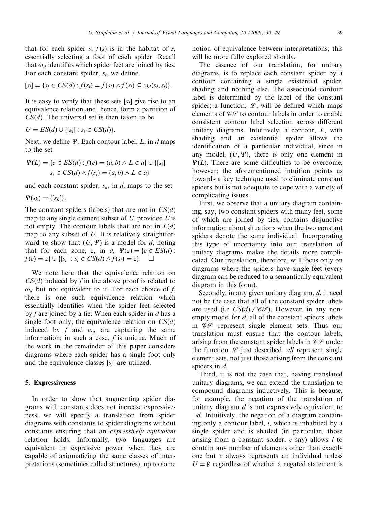<span id="page-10-0"></span>that for each spider *s*,  $f(s)$  is in the habitat of *s*, essentially selecting a foot of each spider. Recall that  $\omega_d$  identifies which spider feet are joined by ties. For each constant spider,  $s_i$ , we define

$$
[s_i] = \{s_j \in CS(d) : f(s_j) = f(s_i) \land f(s_i) \subseteq \omega_d(s_i, s_j)\}.
$$

It is easy to verify that these sets  $[s_i]$  give rise to an equivalence relation and, hence, form a partition of  $CS(d)$ . The universal set is then taken to be

$$
U = ES(d) \cup \{ [s_i] : s_i \in CS(d) \}.
$$

Next, we define  $\Psi$ . Each contour label,  $L$ , in  $d$  maps to the set

$$
\Psi(L) = \{e \in ES(d) : f(e) = (a, b) \land L \in a\} \cup \{[s_i]:
$$
  

$$
s_i \in CS(d) \land f(s_i) = (a, b) \land L \in a\}
$$

and each constant spider,  $s_k$ , in *d*, maps to the set

 $\Psi(s_k) = \{ [s_k] \}.$ 

The constant spiders (labels) that are not in  $CS(d)$ map to any single element subset of *U*, provided *U* is not empty. The contour labels that are not in  $L(d)$ map to any subset of *U*. It is relatively straightforward to show that  $(U, \Psi)$  is a model for *d*, noting that for each zone, *z*, in *d*,  $\Psi(z) = \{e \in ES(d) :$  $f(e) = z} \cup \{ [s_i] : s_i \in CS(d) \land f(s_i) = z \}.$ 

We note here that the equivalence relation on  $CS(d)$  induced by *f* in the above proof is related to  $\omega_d$  but not equivalent to it. For each choice of *f*, there is one such equivalence relation which essentially identifies when the spider feet selected by *f* are joined by a tie. When each spider in *d* has a single foot only, the equivalence relation on  $CS(d)$ induced by f and  $\omega_d$  are capturing the same information; in such a case, *f* is unique. Much of the work in the remainder of this paper considers diagrams where each spider has a single foot only and the equivalence classes  $[s_i]$  are utilized.

#### 5. Expressiveness

In order to show that augmenting spider diagrams with constants does not increase expressiveness, we will specify a translation from spider diagrams with constants to spider diagrams without constants ensuring that an *expressively equivalent* relation holds. Informally, two languages are equivalent in expressive power when they are capable of axiomatizing the same classes of interpretations (sometimes called structures), up to some notion of equivalence between interpretations; this will be more fully explored shortly.

The essence of our translation, for unitary diagrams, is to replace each constant spider by a contour containing a single existential spider, shading and nothing else. The associated contour label is determined by the label of the constant spider; a function,  $\mathscr{L}$ , will be defined which maps elements of  $C\mathcal{L}$  to contour labels in order to enable consistent contour label selection across different unitary diagrams. Intuitively, a contour, *L*, with shading and an existential spider allows the identification of a particular individual, since in any model,  $(U, \Psi)$ , there is only one element in  $\Psi(L)$ . There are some difficulties to be overcome, however; the aforementioned intuition points us towards a key technique used to eliminate constant spiders but is not adequate to cope with a variety of complicating issues.

First, we observe that a unitary diagram containing, say, two constant spiders with many feet, some of which are joined by ties, contains disjunctive information about situations when the two constant spiders denote the same individual. Incorporating this type of uncertainty into our translation of unitary diagrams makes the details more complicated. Our translation, therefore, will focus only on diagrams where the spiders have single feet (every diagram can be reduced to a semantically equivalent diagram in this form).

Secondly, in any given unitary diagram, *d*, it need not be the case that all of the constant spider labels are used (i.e  $CS(d) \neq \mathscr{CF}$ ). However, in any nonempty model for *d*, all of the constant spiders labels in  $\mathscr{CF}$  represent single element sets. Thus our translation must ensure that the contour labels, arising from the constant spider labels in  $\mathscr{CF}$  under the function  $L$  just described, *all* represent single element sets, not just those arising from the constant spiders in *d*.

Third, it is not the case that, having translated unitary diagrams, we can extend the translation to compound diagrams inductively. This is because, for example, the negation of the translation of unitary diagram *d* is not expressively equivalent to  $\neg d$ . Intuitively, the negation of a diagram containing only a contour label, *l*, which is inhabited by a single spider and is shaded (in particular, those arising from a constant spider, *c* say) allows *l* to contain any number of elements other than exactly one but *c* always represents an individual unless  $U = \emptyset$  regardless of whether a negated statement is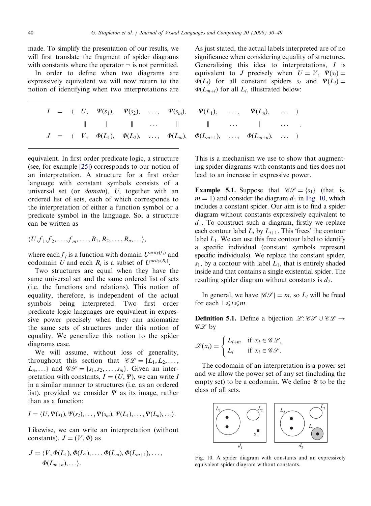<span id="page-11-0"></span>made. To simplify the presentation of our results, we will first translate the fragment of spider diagrams with constants where the operator  $\neg$  is not permitted.

In order to define when two diagrams are expressively equivalent we will now return to the notion of identifying when two interpretations are

> $I = \langle U, \Psi(s_1), \Psi(s_2), \dots, \Psi(s_m), \Psi(L_1), \dots, \Psi(L_n), \dots \rangle$  $\| \cdot \|$  ...  $\|$  ...  $\|$  ...  $\|$  ...  $\langle V, \Phi(L_1), \Phi(L_2), \ldots, \Phi(L_m) \rangle$

equivalent. In first order predicate logic, a structure (see, for example [\[25\]\)](#page-19-0) corresponds to our notion of an interpretation. A structure for a first order language with constant symbols consists of a universal set (or *domain*), *U*, together with an ordered list of sets, each of which corresponds to the interpretation of either a function symbol or a predicate symbol in the language. So, a structure can be written as

$$
\langle U, f_1, f_2, \ldots, f_m, \ldots, R_1, R_2, \ldots, R_n, \ldots \rangle,
$$

where each  $f_i$  is a function with domain  $U^{arity}(f_i)$  and codomain *U* and each  $R_i$  is a subset of  $U^{arity(R_i)}$ .

Two structures are equal when they have the same universal set and the same ordered list of sets (i.e. the functions and relations). This notion of equality, therefore, is independent of the actual symbols being interpreted. Two first order predicate logic languages are equivalent in expressive power precisely when they can axiomatize the same sets of structures under this notion of equality. We generalize this notion to the spider diagrams case.

We will assume, without loss of generality, throughout this section that  $\mathscr{C} \mathscr{L} = \{L_1, L_2, \ldots, L_k\}$  $L_n$ ...g and  $\mathscr{CF} = \{s_1, s_2, \ldots, s_m\}$ . Given an interpretation with constants,  $I = (U, \Psi)$ , we can write *I* in a similar manner to structures (i.e. as an ordered list), provided we consider  $\Psi$  as its image, rather than as a function:

$$
I = \langle U, \Psi(s_1), \Psi(s_2), \ldots, \Psi(s_m), \Psi(L_1), \ldots, \Psi(L_n), \ldots \rangle.
$$

Likewise, we can write an interpretation (without constants),  $J = (V, \Phi)$  as

$$
J = \langle V, \Phi(L_1), \Phi(L_2), \dots, \Phi(L_m), \Phi(L_{m+1}), \dots,
$$
  

$$
\Phi(L_{m+n}), \dots \rangle.
$$

As just stated, the actual labels interpreted are of no significance when considering equality of structures. Generalizing this idea to interpretations, *I* is equivalent to *J* precisely when  $U = V$ ,  $\Psi(s_i) =$  $\Phi(L_i)$  for all constant spiders  $s_i$  and  $\Psi(L_i) =$  $\Phi(L_{m+i})$  for all  $L_i$ , illustrated below:

|  | $\Psi(L_1), \quad \ldots, \quad \Psi(L_n), \quad \ldots \quad \rangle$         |  |
|--|--------------------------------------------------------------------------------|--|
|  | $\  \cdot \ $ $\ $ .                                                           |  |
|  | $\Phi(L_{m+1}), \quad \ldots, \quad \Phi(L_{m+n}), \quad \ldots \quad \rangle$ |  |

This is a mechanism we use to show that augmenting spider diagrams with constants and ties does not lead to an increase in expressive power.

**Example 5.1.** Suppose that  $\mathscr{CF} = \{s_1\}$  (that is,  $m = 1$ ) and consider the diagram  $d_1$  in [Fig. 10,](#page-10-0) which includes a constant spider. Our aim is to find a spider diagram without constants expressively equivalent to *d*1. To construct such a diagram, firstly we replace each contour label  $L_i$  by  $L_{i+1}$ . This 'frees' the contour label  $L_1$ . We can use this free contour label to identify a specific individual (constant symbols represent specific individuals). We replace the constant spider,  $s_1$ , by a contour with label  $L_1$ , that is entirely shaded inside and that contains a single existential spider. The resulting spider diagram without constants is  $d_2$ .

In general, we have  $|\mathscr{CF}| = m$ , so  $L_i$  will be freed for each  $1 \leq i \leq m$ .

**Definition 5.1.** Define a bijection  $\mathcal{L}: \mathscr{CF} \cup \mathscr{CL} \rightarrow$  $C$  by

$$
\mathcal{L}(x_i) = \begin{cases} L_{i+m} & \text{if } x_i \in \mathcal{CL}, \\ L_i & \text{if } x_i \in \mathcal{C}\mathcal{L}. \end{cases}
$$

The codomain of an interpretation is a power set and we allow the power set of any set (including the empty set) to be a codomain. We define  $\mathscr U$  to be the class of all sets.



Fig. 10. A spider diagram with constants and an expressively equivalent spider diagram without constants.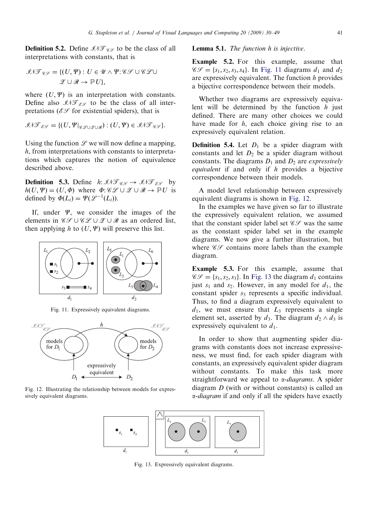<span id="page-12-0"></span>**Definition 5.2.** Define  $\mathcal{N}(\mathcal{T}_{\mathscr{C}})$  to be the class of all interpretations with constants, that is

$$
\mathcal{MT}_{\mathscr{C}\mathscr{S}} = \{ (U, \Psi) : U \in \mathscr{U} \land \Psi : \mathscr{C}\mathscr{S} \cup \mathscr{C}\mathscr{L} \cup \mathscr{D} \to \mathbb{P}U \},\
$$

where  $(U, \Psi)$  is an interpretation with constants. Define also  $\mathcal{M} \mathcal{T}_{\mathcal{E} \mathcal{S}}$  to be the class of all interpretations ( $\mathscr{E}\mathscr{S}$  for existential spiders), that is

$$
\mathcal{INT}_{\mathscr{E}\mathscr{G}} = \{ (U, \Psi|_{\mathscr{C}\mathscr{L}\cup\mathscr{Z}\cup\mathscr{R}}) : (U, \Psi) \in \mathscr{INT}_{\mathscr{C}\mathscr{F}} \}.
$$

Using the function  $L$  we will now define a mapping, *h*, from interpretations with constants to interpretations which captures the notion of equivalence described above.

**Definition 5.3.** Define  $h: \mathcal{A} \mathcal{F}_{\mathcal{C} \mathcal{S}} \to \mathcal{A} \mathcal{F}_{\mathcal{C} \mathcal{S}}$  by  $h(U, \Psi) = (U, \Phi)$  where  $\Phi: \mathscr{CL} \cup \mathscr{L} \cup \mathscr{R} \to \mathbb{P}U$  is defined by  $\Phi(L_i) = \Psi(\mathcal{L}^{-1}(L_i)).$ 

If, under  $\Psi$ , we consider the images of the elements in  $\mathscr{CF} \cup \mathscr{CF} \cup \mathscr{Z} \cup \mathscr{R}$  as an ordered list, then applying *h* to  $(U, \Psi)$  will preserve this list.



Fig. 11. Expressively equivalent diagrams.



Fig. 12. Illustrating the relationship between models for expressively equivalent diagrams.

Lemma 5.1. *The function h is injective*.

Example 5.2. For this example, assume that  $\mathscr{CF} = \{s_1, s_2, s_3, s_4\}.$  In [Fig. 11](#page-11-0) diagrams  $d_1$  and  $d_2$ are expressively equivalent. The function *h* provides a bijective correspondence between their models.

Whether two diagrams are expressively equivalent will be determined by the function *h* just defined. There are many other choices we could have made for *h*, each choice giving rise to an expressively equivalent relation.

**Definition 5.4.** Let  $D_1$  be a spider diagram with constants and let  $D_2$  be a spider diagram without constants. The diagrams  $D_1$  and  $D_2$  are *expressively equivalent* if and only if *h* provides a bijective correspondence between their models.

A model level relationship between expressively equivalent diagrams is shown in [Fig. 12](#page-11-0).

In the examples we have given so far to illustrate the expressively equivalent relation, we assumed that the constant spider label set  $\mathscr{CF}$  was the same as the constant spider label set in the example diagrams. We now give a further illustration, but where  $C\mathscr{G}$  contains more labels than the example diagram.

Example 5.3. For this example, assume that  $\mathscr{CF} = \{s_1, s_2, s_3\}.$  In [Fig. 13](#page-11-0) the diagram  $d_1$  contains just  $s_1$  and  $s_2$ . However, in any model for  $d_1$ , the constant spider *s*<sup>3</sup> represents a specific individual. Thus, to find a diagram expressively equivalent to  $d_1$ , we must ensure that  $L_3$  represents a single element set, asserted by  $d_3$ . The diagram  $d_2 \wedge d_3$  is expressively equivalent to  $d_1$ .

In order to show that augmenting spider diagrams with constants does not increase expressiveness, we must find, for each spider diagram with constants, an expressively equivalent spider diagram without constants. To make this task more straightforward we appeal to a-*diagrams*. A spider diagram *D* (with or without constants) is called an a-*diagram* if and only if all the spiders have exactly



Fig. 13. Expressively equivalent diagrams.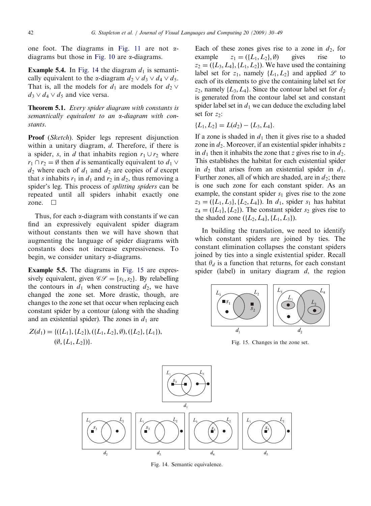one foot. The diagrams in [Fig. 11](#page-11-0) are not  $\alpha$ diagrams but those in Fig.  $10$  are  $\alpha$ -diagrams.

**Example 5.4.** In [Fig. 14](#page-12-0) the diagram  $d_1$  is semantically equivalent to the *x*-diagram  $d_2 \vee d_3 \vee d_4 \vee d_5$ . That is, all the models for  $d_1$  are models for  $d_2 \vee$  $d_3 \vee d_4 \vee d_5$  and vice versa.

Theorem 5.1. *Every spider diagram with constants is semantically equivalent to an* a-*diagram with constants*.

Proof (*Sketch*). Spider legs represent disjunction within a unitary diagram, *d*. Therefore, if there is a spider, *s*, in *d* that inhabits region  $r_1 \cup r_2$  where  $r_1 \cap r_2 = \emptyset$  then *d* is semantically equivalent to  $d_1 \vee$  $d_2$  where each of  $d_1$  and  $d_2$  are copies of  $d$  except that *s* inhabits  $r_1$  in  $d_1$  and  $r_2$  in  $d_2$ , thus removing a spider's leg. This process of *splitting spiders* can be repeated until all spiders inhabit exactly one zone.  $\square$ 

Thus, for each  $\alpha$ -diagram with constants if we can find an expressively equivalent spider diagram without constants then we will have shown that augmenting the language of spider diagrams with constants does not increase expressiveness. To begin, we consider unitary  $\alpha$ -diagrams.

Example 5.5. The diagrams in [Fig. 15](#page-12-0) are expressively equivalent, given  $\mathscr{CF} = \{s_1, s_2\}$ . By relabelling the contours in  $d_1$  when constructing  $d_2$ , we have changed the zone set. More drastic, though, are changes to the zone set that occur when replacing each constant spider by a contour (along with the shading and an existential spider). The zones in  $d_1$  are

$$
Z(d_1) = \{ (\{L_1\}, \{L_2\}), (\{L_1, L_2\}, \emptyset), (\{L_2\}, \{L_1\}),
$$
  

$$
(\emptyset, \{L_1, L_2\})\}.
$$

Each of these zones gives rise to a zone in  $d_2$ , for example  $z_1 = (\{L_1, L_2\}, \emptyset)$  gives rise to  $z_2 = (\{L_3, L_4\}, \{L_1, L_2\})$ . We have used the containing label set for  $z_1$ , namely  $\{L_1, L_2\}$  and applied  $\mathscr L$  to each of its elements to give the containing label set for  $z_2$ , namely  $\{L_3, L_4\}$ . Since the contour label set for  $d_2$ is generated from the contour label set and constant spider label set in  $d_1$  we can deduce the excluding label set for  $z_2$ :

$$
\{L_1, L_2\} = L(d_2) - \{L_3, L_4\}.
$$

If a zone is shaded in  $d_1$  then it gives rise to a shaded zone in *d*<sub>2</sub>. Moreover, if an existential spider inhabits *z* in  $d_1$  then it inhabits the zone that *z* gives rise to in  $d_2$ . This establishes the habitat for each existential spider in  $d_2$  that arises from an existential spider in  $d_1$ . Further zones, all of which are shaded, are in  $d_2$ ; there is one such zone for each constant spider. As an example, the constant spider  $s_1$  gives rise to the zone  $z_3 = (\{L_1, L_3\}, \{L_2, L_4\})$ . In  $d_1$ , spider  $s_1$  has habitat  $z_4 = (\{L_1\}, \{L_2\})$ . The constant spider  $s_2$  gives rise to the shaded zone  $({L_2, L_4}, {L_1, L_3})$ .

In building the translation, we need to identify which constant spiders are joined by ties. The constant elimination collapses the constant spiders joined by ties into a single existential spider. Recall that  $\theta_d$  is a function that returns, for each constant spider (label) in unitary diagram *d*, the region



Fig. 15. Changes in the zone set.



Fig. 14. Semantic equivalence.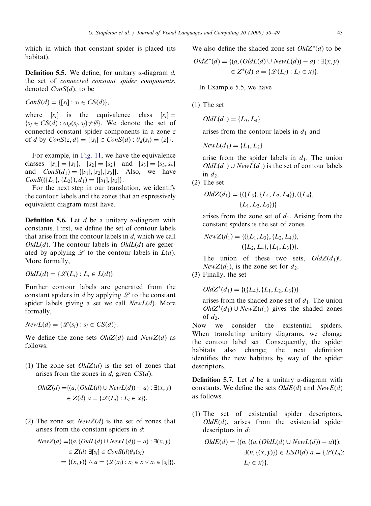which in which that constant spider is placed (its habitat).

Definition 5.5. We define, for unitary a-diagram *d*, the set of *connected constant spider components*, denoted  $ConS(d)$ , to be

 $ConS(d) = \{ [s_i] : s_i \in CS(d) \},\$ 

where  $[s_i]$  is the equivalence class  $[s_i] =$  ${s_j \in CS(d) : \omega_d(s_i, s_j) \neq \emptyset}$ . We denote the set of connected constant spider components in a zone *z* of *d* by  $ConS(z, d) = \{ [s_i] \in ConS(d) : \theta_d(s_i) = \{z\} \}.$ 

For example, in [Fig. 11,](#page-11-0) we have the equivalence classes  $[s_1] = \{s_1\}, \quad [s_2] = \{s_2\} \quad \text{and} \quad [s_3] = \{s_3, s_4\}$ and  $ConS(d_1) = \{ [s_1], [s_2], [s_3] \}.$  Also, we have  $ConS({ ({L_1}, {L_2}), d_1) = { {[s_1], [s_2]}}.$ 

For the next step in our translation, we identify the contour labels and the zones that an expressively equivalent diagram must have.

**Definition 5.6.** Let *d* be a unitary *a*-diagram with constants. First, we define the set of contour labels that arise from the contour labels in *d*, which we call  $OldL(d)$ . The contour labels in  $OldL(d)$  are generated by applying  $\mathscr L$  to the contour labels in  $L(d)$ . More formally,

$$
OldL(d) = \{ \mathcal{L}(L_i) : L_i \in L(d) \}.
$$

Further contour labels are generated from the constant spiders in *d* by applying  $\mathscr L$  to the constant spider labels giving a set we call  $NewL(d)$ . More formally,

$$
NewL(d) = \{ \mathcal{L}(s_i) : s_i \in CS(d) \}.
$$

We define the zone sets  $OldZ(d)$  and  $NewZ(d)$  as follows:

(1) The zone set  $OldZ(d)$  is the set of zones that arises from the zones in  $d$ , given  $CS(d)$ :

$$
OldZ(d) = \{(a, OldL(d) \cup NewL(d)) - a) : \exists (x, y) \in Z(d) \ a = \{\mathcal{L}(L_i) : L_i \in x\}\}.
$$

(2) The zone set  $NewZ(d)$  is the set of zones that arises from the constant spiders in *d*:

$$
NewZ(d) = \{(a, (OldL(d) \cup NewL(d)) - a) : \exists (x, y) \in Z(d) \exists [s_j] \in ConS(d)\theta_d(s_j) = \{(x, y)\} \land a = \{\mathcal{L}(x_i) : x_i \in x \lor x_i \in [s_j]\}.
$$

We also define the shaded zone set  $OldZ^*(d)$  to be

$$
OldZ^*(d) = \{(a, (OldL(d) \cup NewL(d)) - a) : \exists (x, y) \in Z^*(d) \ a = \{\mathcal{L}(L_i) : L_i \in x\}\}.
$$

In Example 5.5, we have

(1) The set

$$
OldL(d_1) = \{L_3, L_4\}
$$

arises from the contour labels in  $d_1$  and

 $NewL(d_1) = \{L_1, L_2\}$ 

arise from the spider labels in  $d_1$ . The union  $OldL(d_1) \cup NewL(d_1)$  is the set of contour labels in  $d_2$ .

(2) The set

$$
OldZ(d_1) = \{ (\{L_3\}, \{L_1, L_2, L_4\}), (\{L_4\}, \{L_1, L_2, L_3\}) \}
$$

arises from the zone set of  $d_1$ . Arising from the constant spiders is the set of zones

$$
NewZ(d_1) = \{ (\{L_1, L_3\}, \{L_2, L_4\}), \\ (\{L_2, L_4\}, \{L_1, L_3\}) \}.
$$

The union of these two sets,  $OldZ(d_1) \cup$ *New* $Z(d_1)$ , is the zone set for  $d_2$ .

(3) Finally, the set

$$
OldZ^*(d_1) = \{ (\{L_4\}, \{L_1, L_2, L_3\}) \}
$$

arises from the shaded zone set of  $d_1$ . The union  $OldZ^*(d_1) \cup NewZ(d_1)$  gives the shaded zones of  $d_2$ .

Now we consider the existential spiders. When translating unitary diagrams, we change the contour label set. Consequently, the spider habitats also change; the next definition identifies the new habitats by way of the spider descriptors.

**Definition 5.7.** Let  $d$  be a unitary  $\alpha$ -diagram with constants. We define the sets  $OldE(d)$  and  $NewE(d)$ as follows.

(1) The set of existential spider descriptors,  $OldE(d)$ , arises from the existential spider descriptors in *d*:

$$
OldE(d) = \{(n, \{(a, (OldL(d) \cup NewL(d)) - a)\}):
$$
  

$$
\exists (n, \{(x, y)\}) \in ESD(d) \ a = \{\mathcal{L}(L_i):
$$
  

$$
L_i \in x\}.
$$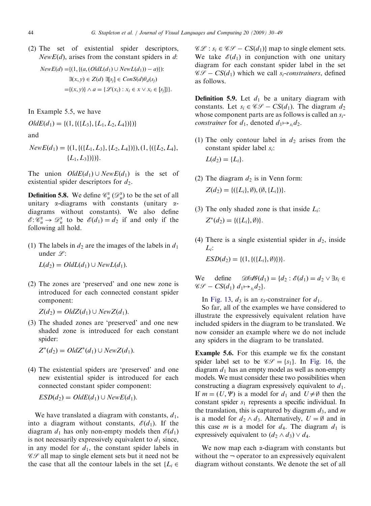(2) The set of existential spider descriptors,  $NewE(d)$ , arises from the constant spiders in *d*:

$$
NewE(d) = \{ (1, \{(a, (OldL(d_1) \cup NewL(d_1)) - a) \}) :
$$
  
\n
$$
\exists (x, y) \in Z(d) \exists [s_j] \in ConS(d)\theta_d(s_j)
$$
  
\n
$$
= \{(x, y) \} \wedge a = \{ \mathcal{L}(x_i) : x_i \in x \vee x_i \in [s_j] \}.
$$

In Example 5.5, we have

 $OldE(d_1) = \{(1, \{(L_3), (L_1, L_2, L_4)\})\}$ 

and

$$
NewE(d_1) = \{ (1, \{ (\{L_1, L_3\}, \{L_2, L_4\}) \}), (1, \{ (\{L_2, L_4\}, \{L_1, L_3\}) \}) \}.
$$

The union  $OldE(d_1) \cup NewE(d_1)$  is the set of existential spider descriptors for  $d_2$ .

**Definition 5.8.** We define  $\mathcal{C}_u^{\alpha}(\mathcal{D}_u^{\alpha})$  to be the set of all unitary  $\alpha$ -diagrams with constants (unitary  $\alpha$ diagrams without constants). We also define  $\mathscr{E}: \mathscr{C}_u^{\alpha} \to \mathscr{D}_u^{\alpha}$  to be  $\mathscr{E}(d_1) = d_2$  if and only if the following all hold.

(1) The labels in  $d_2$  are the images of the labels in  $d_1$ under  $\mathscr{L}$ :

 $L(d_2) = OldL(d_1) \cup NewL(d_1)$ .

(2) The zones are 'preserved' and one new zone is introduced for each connected constant spider component:

 $Z(d_2) = OldZ(d_1) \cup NewZ(d_1)$ .

(3) The shaded zones are 'preserved' and one new shaded zone is introduced for each constant spider:

 $Z^*(d_2) = OldZ^*(d_1) \cup NewZ(d_1).$ 

(4) The existential spiders are 'preserved' and one new existential spider is introduced for each connected constant spider component:

$$
ESD(d_2) = OldE(d_1) \cup NewE(d_1).
$$

We have translated a diagram with constants,  $d_1$ , into a diagram without constants,  $\mathscr{E}(d_1)$ . If the diagram  $d_1$  has only non-empty models then  $\mathscr{E}(d_1)$ is not necessarily expressively equivalent to  $d_1$  since, in any model for  $d_1$ , the constant spider labels in  $\mathscr{CF}$  all map to single element sets but it need not be the case that all the contour labels in the set  ${L_i \in \mathbb{R}^2}$ 

 $\mathscr{CL}: s_i \in \mathscr{CF} - CS(d_1)$ } map to single element sets. We take  $\mathscr{E}(d_1)$  in conjunction with one unitary diagram for each constant spider label in the set  $\mathscr{CF} - CS(d_1)$  which we call *s*<sup>*i*</sup>-constrainers, defined as follows.

**Definition 5.9.** Let  $d_1$  be a unitary diagram with constants. Let  $s_i \in \mathcal{CF} - CS(d_1)$ . The diagram  $d_2$ whose component parts are as follows is called an *siconstrainer* for  $d_1$ , denoted  $d_1 \mapsto s_i d_2$ .

(1) The only contour label in  $d_2$  arises from the constant spider label *s<sup>i</sup>* :

 $L(d_2) = \{L_i\}.$ 

- (2) The diagram  $d_2$  is in Venn form:  $Z(d_2) = \{ (\{L_i\}, \emptyset), (\emptyset, \{L_i\}) \}.$
- (3) The only shaded zone is that inside  $L_i$ :  $Z^*(d_2) = \{ (\{L_i\}, \emptyset) \}.$
- (4) There is a single existential spider in  $d_2$ , inside *Li* :

$$
ESD(d_2) = \{ (1, \{ (\{L_i\}, \emptyset) \}) \}.
$$

We define  $\mathcal{A}\mathcal{A}\mathcal{B}(d_1) = \{d_2 : \mathcal{E}(d_1) = d_2 \vee \exists s_i \in$  $\mathscr{CF} - CS(d_1) \ d_1 \mapsto s_i d_2$ .

In [Fig. 13](#page-11-0),  $d_3$  is an  $s_3$ -constrainer for  $d_1$ .

So far, all of the examples we have considered to illustrate the expressively equivalent relation have included spiders in the diagram to be translated. We now consider an example where we do not include any spiders in the diagram to be translated.

Example 5.6. For this example we fix the constant spider label set to be  $\mathscr{CF} = \{s_1\}$ . In Fig. 16, the diagram  $d_1$  has an empty model as well as non-empty models. We must consider these two possibilities when constructing a diagram expressively equivalent to  $d_1$ . If  $m = (U, \Psi)$  is a model for  $d_1$  and  $U \neq \emptyset$  then the constant spider *s*<sup>1</sup> represents a specific individual. In the translation, this is captured by diagram  $d_3$ , and  $m$ is a model for  $d_2 \wedge d_3$ . Alternatively,  $U = \emptyset$  and in this case *m* is a model for  $d_4$ . The diagram  $d_1$  is expressively equivalent to  $(d_2 \wedge d_3) \vee d_4$ .

We now map each  $\alpha$ -diagram with constants but without the  $\neg$  operator to an expressively equivalent diagram without constants. We denote the set of all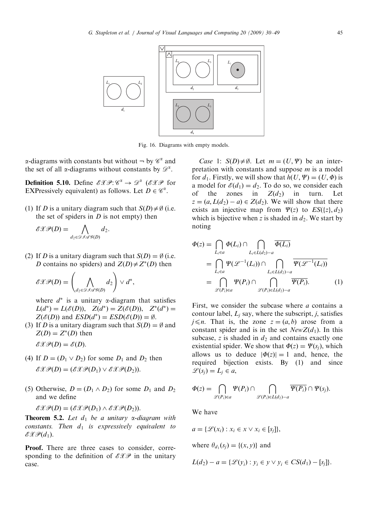

Fig. 16. Diagrams with empty models.

 $\alpha$ -diagrams with constants but without  $\neg$  by  $\mathscr{C}^{\alpha}$  and the set of all  $\alpha$ -diagrams without constants by  $\mathscr{D}^{\alpha}$ .

**Definition 5.10.** Define  $\mathscr{ELP}:\mathscr{C}^{\alpha} \to \mathscr{D}^{\alpha}$  ( $\mathscr{ELP}$  for EXPressively equivalent) as follows. Let  $D \in \mathscr{C}^{\alpha}$ .

(1) If *D* is a unitary diagram such that  $S(D) \neq \emptyset$  (i.e. the set of spiders in  $D$  is not empty) then

$$
\mathscr{EKP}(D)=\bigwedge_{d_2\in\mathscr{D}\mathscr{I}\mathscr{A}\mathscr{G}(D)}d_2.
$$

(2) If *D* is a unitary diagram such that  $S(D) = \emptyset$  (i.e. *D* contains no spiders) and  $Z(D) \neq Z^*(D)$  then

$$
\mathscr{E}\mathscr{F}\mathscr{P}(D) = \left(\bigwedge_{d_2 \in \mathscr{D}\mathscr{I}\mathscr{A}\mathscr{G}(D)} d_2\right) \vee d^*,
$$

where  $d^*$  is a unitary  $\alpha$ -diagram that satisfies  $L(d^*) = L(\mathscr{E}(D)), \quad Z(d^*) = Z(\mathscr{E}(D)), \quad Z^*(d^*) =$  $Z(\mathscr{E}(D))$  and  $ESD(d^*) = ESD(\mathscr{E}(D)) = \emptyset$ .

(3) If *D* is a unitary diagram such that  $S(D) = \emptyset$  and  $Z(D) = Z^*(D)$  then

 $\mathscr{E}\mathscr{F}\mathscr{P}(D) = \mathscr{E}(D).$ 

- (4) If  $D = (D_1 \vee D_2)$  for some  $D_1$  and  $D_2$  then  $\mathscr{E}\mathscr{F}\mathscr{P}(D) = (\mathscr{E}\mathscr{F}\mathscr{P}(D_1) \vee \mathscr{E}\mathscr{F}\mathscr{P}(D_2)).$
- (5) Otherwise,  $D = (D_1 \wedge D_2)$  for some  $D_1$  and  $D_2$ and we define

 $\mathscr{E}\mathscr{F}\mathscr{P}(D) = (\mathscr{E}\mathscr{F}\mathscr{P}(D_1) \wedge \mathscr{E}\mathscr{F}\mathscr{P}(D_2)).$ 

**Theorem 5.2.** Let  $d_1$  be a unitary *a*-diagram with *constants. Then d*<sup>1</sup> *is expressively equivalent to*  $\mathscr{E}\mathscr{F}\mathscr{P}(d_1)$ .

Proof. There are three cases to consider, corresponding to the definition of  $\mathscr{E} \mathscr{F}$  in the unitary case.

*Case* 1:  $S(D) \neq \emptyset$ . Let  $m = (U, \Psi)$  be an interpretation with constants and suppose *m* is a model for  $d_1$ . Firstly, we will show that  $h(U, \Psi) = (U, \Phi)$  is a model for  $\mathcal{E}(d_1) = d_2$ . To do so, we consider each of the zones in  $Z(d_2)$  in turn. Let  $z = (a, L(d_2) - a) \in Z(d_2)$ . We will show that there exists an injective map from  $\Psi(z)$  to  $ES({z}, d_2)$ which is bijective when  $z$  is shaded in  $d_2$ . We start by noting

$$
\begin{split} \Phi(z) &= \bigcap_{L_i \in a} \Phi(L_i) \cap \bigcap_{L_i \in L(d_2) - a} \overline{\Phi(L_i)} \\ &= \bigcap_{L_i \in a} \Psi(\mathscr{L}^{-1}(L_i)) \cap \bigcap_{L_i \in L(d_2) - a} \overline{\Psi(\mathscr{L}^{-1}(L_i))} \\ &= \bigcap_{\mathscr{L}(P_i) \in a} \Psi(P_i) \cap \bigcap_{\mathscr{L}(P_i) \in L(d_2) - a} \overline{\Psi(P_i)}. \end{split} \tag{1}
$$

First, we consider the subcase where *a* contains a contour label, *L<sup>j</sup>* say, where the subscript, *j*, satisfies  $j \leq n$ . That is, the zone  $z = (a, b)$  arose from a constant spider and is in the set  $NewZ(d_1)$ . In this subcase,  $\overline{z}$  is shaded in  $\overline{d}_2$  and contains exactly one existential spider. We show that  $\Phi(z) = \Psi(s_i)$ , which allows us to deduce  $|\Phi(z)| = 1$  and, hence, the required bijection exists. By (1) and since  $\mathscr{L}(s_i) = L_i \in a$ ,

$$
\Phi(z) = \bigcap_{\mathscr{L}(P_i) \in a} \Psi(P_i) \cap \bigcap_{\mathscr{L}(P_i) \in L(d_2)-a} \overline{\Psi(P_i)} \cap \Psi(s_j).
$$

We have

$$
a = \{ \mathcal{L}(x_i) : x_i \in x \lor x_i \in [s_j] \},\
$$

where  $\theta_{d_1}(s_j) = \{(x, y)\}\$ and

$$
L(d_2) - a = \{ \mathcal{L}(y_i) : y_i \in y \lor y_i \in CS(d_1) - [s_j] \}.
$$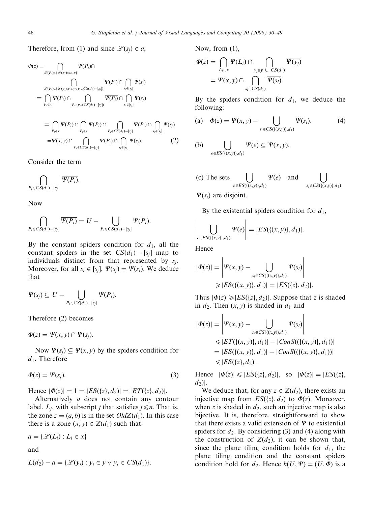<span id="page-17-0"></span>Therefore, from (1) and since  $\mathcal{L}(s_i) \in a$ ,

$$
\Phi(z) = \bigcap_{\mathcal{L}(P_i) \in \{\mathcal{L}(x_i): x_i \in x\}} \Psi(P_i) \cap
$$
\n
$$
\bigcap_{\mathcal{L}(P_i) \in \{\mathcal{L}(y_i): y_i \in y \lor y_i \in CS(d_1) - [s_j]\}} \overline{\Psi(P_i)} \cap \bigcap_{s_i \in [s_j]} \Psi(s_i)
$$
\n
$$
= \bigcap_{P_i \in x} \Psi(P_i) \cap \bigcap_{P_i \in y \cup (CS(d_1) - [s_j])} \overline{\Psi(P_i)} \cap \bigcap_{s_i \in [s_j]} \Psi(s_j)
$$
\n
$$
= \bigcap_{P_i \in x} \Psi(P_i) \cap \bigcap_{P_i \in y} \overline{\Psi(P_i)} \cap \bigcap_{P_i \in CS(d_1) - [s_j]} \overline{\Psi(P_i)} \cap \bigcap_{s_i \in [s_j]} \Psi(s_j)
$$
\n
$$
= \Psi(x, y) \cap \bigcap_{P_i \in CS(d_1) - [s_j]} \overline{\Psi(P_i)} \cap \bigcap_{s_i \in [s_j]} \Psi(s_j).
$$
\n(2)

 $s_i \in [s_j]$ 

Consider the term

$$
\bigcap_{P_i \in CS(d_1) - [s_j]} \overline{\Psi(P_i)}.
$$

Now

$$
\bigcap_{P_i \in CS(d_1) - [s_j]} \overline{\Psi(P_i)} = U - \bigcup_{P_i \in CS(d_1) - [s_j]} \Psi(P_i).
$$

By the constant spiders condition for  $d_1$ , all the constant spiders in the set  $CS(d_1) - [s_j]$  map to individuals distinct from that represented by *s<sup>j</sup>* . Moreover, for all  $s_i \in [s_j]$ ,  $\Psi(s_j) = \Psi(s_i)$ . We deduce that

$$
\Psi(s_j) \subseteq U - \bigcup_{P_i \in CS(d_1) - [s_j]} \Psi(P_i).
$$

Therefore (2) becomes

 $\Phi(z) = \Psi(x, y) \cap \Psi(s_i).$ 

Now  $\Psi(s_i) \subseteq \Psi(x, y)$  by the spiders condition for *d*1. Therefore

$$
\Phi(z) = \Psi(s_j). \tag{3}
$$

Hence  $|\Phi(z)| = 1 = |ES(\{z\}, d_2)| = |ET(\{z\}, d_2)|$ .

Alternatively *a* does not contain any contour label,  $L_j$ , with subscript *j* that satisfies  $j \le n$ . That is, the zone  $z = (a, b)$  is in the set  $OldZ(d_1)$ . In this case there is a zone  $(x, y) \in Z(d_1)$  such that

 $a = \{ \mathcal{L}(L_i) : L_i \in \mathcal{X} \}$ 

and

$$
L(d_2) - a = \{ \mathcal{L}(y_i) : y_i \in y \lor y_i \in CS(d_1) \}.
$$

Now, from (1),

$$
\Phi(z) = \bigcap_{L_i \in x} \Psi(L_i) \cap \bigcap_{y_i \in y} \bigcap_{U \subset S(d_1)} \overline{\Psi(y_i)}
$$
  
=  $\Psi(x, y) \cap \bigcap_{s_i \in CS(d_1)} \overline{\Psi(s_i)}.$ 

By the spiders condition for  $d_1$ , we deduce the following:

(a) 
$$
\Phi(z) = \Psi(x, y) - \bigcup_{s_i \in CS(\{(x, y)\}, d_1)} \Psi(s_i).
$$
 (4)

(b) 
$$
\bigcup_{e \in ES(\{(x,y)\},d_1)} \Psi(e) \subseteq \Psi(x,y).
$$

(c) The sets 
$$
\bigcup_{e \in ES(\{(x,y)\},d_1)} \Psi(e)
$$
 and  $\bigcup_{s_i \in CS(\{(x,y)\},d_1)}$ 

 $\Psi(s_i)$  are disjoint.

By the existential spiders condition for  $d_1$ ,

$$
\left|\bigcup_{e \in ES(\{(x,y)\},d_1)} \Psi(e)\right| = |ES(\{(x,y)\},d_1)|.
$$

Hence

$$
|\Phi(z)| = \left| \Psi(x, y) - \bigcup_{s_i \in CS((x, y)), d_1)} \Psi(s_i) \right|
$$
  
\n
$$
\geq |ES(\{(x, y)\}, d_1)| = |ES(\{z\}, d_2)|.
$$

Thus  $|\Phi(z)| \geqslant |ES(\lbrace z \rbrace, d_2)|$ . Suppose that *z* is shaded in  $d_2$ . Then  $(x, y)$  is shaded in  $d_1$  and

$$
|\Phi(z)| = \left| \Psi(x, y) - \bigcup_{s_i \in CS((x, y)), d_1)} \Psi(s_i) \right|
$$
  
\n
$$
\leq |ET(\{(x, y)\}, d_1)| - |ConS((\{(x, y)\}, d_1))|
$$
  
\n
$$
= |ES(\{(x, y)\}, d_1)| - |ConS((\{(x, y)\}, d_1))|
$$
  
\n
$$
\leq |ES(\{z\}, d_2)|.
$$

Hence  $|\Phi(z)| \le |ES({z}, d_2)|$ , so  $|\Phi(z)| = |ES({z}, d_2)|$  $d_2$ .

We deduce that, for any  $z \in Z(d_2)$ , there exists an injective map from  $ES({z}, d_2)$  to  $\Phi(z)$ . Moreover, when  $z$  is shaded in  $d_2$ , such an injective map is also bijective. It is, therefore, straightforward to show that there exists a valid extension of  $\Psi$  to existential spiders for  $d_2$ . By considering (3) and (4) along with the construction of  $Z(d_2)$ , it can be shown that, since the plane tiling condition holds for  $d_1$ , the plane tiling condition and the constant spiders condition hold for  $d_2$ . Hence  $h(U, \Psi) = (U, \Phi)$  is a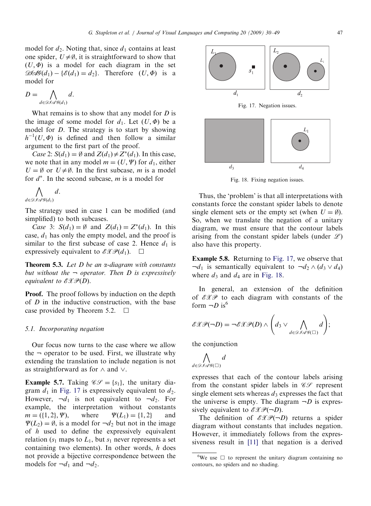<span id="page-18-0"></span>model for  $d_2$ . Noting that, since  $d_1$  contains at least one spider,  $U \neq \emptyset$ , it is straightforward to show that  $(U, \Phi)$  is a model for each diagram in the set  $\mathscr{B\!I\!S}(d_1) - \{ \mathscr{E}(d_1) = d_2 \}.$  Therefore  $(U, \Phi)$  is a model for

$$
D=\bigwedge_{d\in \mathscr{D\mathscr{A}\mathscr{G}}(d_1)}d.
$$

What remains is to show that any model for *D* is the image of some model for  $d_1$ . Let  $(U, \Phi)$  be a model for *D*. The strategy is to start by showing  $h^{-1}(U, \Phi)$  is defined and then follow a similar argument to the first part of the proof.

*Case* 2: *S*( $d_1$ ) = Ø and *Z*( $d_1$ )  $\neq$  *Z*<sup>\*</sup>( $d_1$ ). In this case, we note that in any model  $m = (U, \Psi)$  for  $d_1$ , either  $U = \emptyset$  or  $U \neq \emptyset$ . In the first subcase, *m* is a model for *d* . In the second subcase, *m* is a model for

$$
\bigwedge_{d \in \mathscr{D}\mathscr{I}\mathscr{A}\mathscr{G}(d_1)} d.
$$

The strategy used in case 1 can be modified (and simplified) to both subcases.

*Case* 3:  $S(d_1) = \emptyset$  and  $Z(d_1) = Z^*(d_1)$ . In this case,  $d_1$  has only the empty model, and the proof is similar to the first subcase of case 2. Hence  $d_1$  is expressively equivalent to  $\mathscr{E}\mathscr{F}\mathscr{P}(d_1)$ .  $\Box$ 

Theorem 5.3. *Let D be an* a-*diagram with constants but without the*  $\rightarrow$  *operator. Then D is expressively equivalent to*  $\mathscr{E}\mathscr{F}\mathscr{P}(D)$ *.* 

Proof. The proof follows by induction on the depth of *D* in the inductive construction, with the base case provided by Theorem 5.2.  $\Box$ 

#### *5.1. Incorporating negation*

Our focus now turns to the case where we allow the  $\neg$  operator to be used. First, we illustrate why extending the translation to include negation is not as straightforward as for  $\wedge$  and  $\vee$ .

**Example 5.7.** Taking  $\mathcal{CF} = \{s_1\}$ , the unitary diagram  $d_1$  in [Fig. 17](#page-17-0) is expressively equivalent to  $d_2$ . However,  $\neg d_1$  is not equivalent to  $\neg d_2$ . For example, the interpretation without constants  $m = (\{1, 2\}, \Psi)$ , where  $\Psi(L_1) = \{1, 2\}$  and  $\Psi(L_2) = \emptyset$ , is a model for  $\neg d_2$  but not in the image of *h* used to define the expressively equivalent relation ( $s_1$  maps to  $L_1$ , but  $s_1$  never represents a set containing two elements). In other words, *h* does not provide a bijective correspondence between the models for  $\neg d_1$  and  $\neg d_2$ .

Thus, the 'problem' is that all interpretations with constants force the constant spider labels to denote single element sets or the empty set (when  $U = \emptyset$ ). So, when we translate the negation of a unitary diagram, we must ensure that the contour labels arising from the constant spider labels (under  $\mathscr{L}$ ) also have this property.

 $d_3$  *d*<sub>4</sub>

Fig. 18. Fixing negation issues.

Example 5.8. Returning to [Fig. 17](#page-17-0), we observe that  $\neg d_1$  is semantically equivalent to  $\neg d_2 \wedge (d_3 \vee d_4)$ where  $d_3$  and  $d_4$  are in [Fig. 18](#page-17-0).

In general, an extension of the definition of  $\mathscr{EUP}$  to each diagram with constants of the form  $-D$  is<sup>6</sup>

$$
\mathscr{EKP}(\neg D) = \neg \mathscr{EXP}(D) \wedge \left(d_3 \vee \bigwedge_{d \in \mathscr{D}\mathscr{A}\mathscr{G}(\square)} d\right);
$$

the conjunction

$$
\bigwedge_{d \in \mathscr{D\!M\mathscrG}(\square)} d
$$

expresses that each of the contour labels arising from the constant spider labels in  $\mathscr{CF}$  represent single element sets whereas  $d_3$  expresses the fact that the universe is empty. The diagram  $\neg D$  is expressively equivalent to  $\mathscr{E}\mathscr{F}(-D)$ .

The definition of  $\mathscr{E}\mathscr{F}(-D)$  returns a spider diagram without constants that includes negation. However, it immediately follows from the expressiveness result in [\[11\]](#page-19-0) that negation is a derived



*L*1

<sup>&</sup>lt;sup>6</sup>We use  $\Box$  to represent the unitary diagram containing no contours, no spiders and no shading.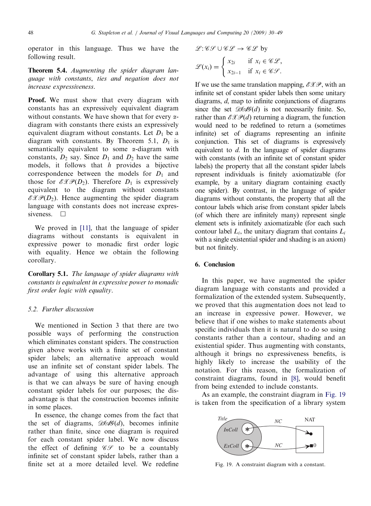<span id="page-19-0"></span>operator in this language. Thus we have the following result.

Theorem 5.4. *Augmenting the spider diagram language with constants*, *ties and negation does not increase expressiveness*.

Proof. We must show that every diagram with constants has an expressively equivalent diagram without constants. We have shown that for every  $\alpha$ diagram with constants there exists an expressively equivalent diagram without constants. Let  $D_1$  be a diagram with constants. By Theorem 5.1,  $D_1$  is semantically equivalent to some a-diagram with constants,  $D_2$  say. Since  $D_1$  and  $D_2$  have the same models, it follows that *h* provides a bijective correspondence between the models for  $D_1$  and those for  $\mathscr{EUP}(D_2)$ . Therefore  $D_1$  is expressively equivalent to the diagram without constants  $\mathscr{EUP}(D_2)$ . Hence augmenting the spider diagram language with constants does not increase expressiveness.  $\Box$ 

We proved in [11], that the language of spider diagrams without constants is equivalent in expressive power to monadic first order logic with equality. Hence we obtain the following corollary.

Corollary 5.1. *The language of spider diagrams with constants is equivalent in expressive power to monadic first order logic with equality*.

#### *5.2. Further discussion*

We mentioned in Section 3 that there are two possible ways of performing the construction which eliminates constant spiders. The construction given above works with a finite set of constant spider labels; an alternative approach would use an infinite set of constant spider labels. The advantage of using this alternative approach is that we can always be sure of having enough constant spider labels for our purposes; the disadvantage is that the construction becomes infinite in some places.

In essence, the change comes from the fact that the set of diagrams,  $\mathcal{A}\mathcal{A}\mathcal{G}(d)$ , becomes infinite rather than finite, since one diagram is required for each constant spider label. We now discuss the effect of defining  $\mathscr{CF}$  to be a countably infinite set of constant spider labels, rather than a finite set at a more detailed level. We redefine

$$
\mathcal{L}: \mathscr{CF} \cup \mathscr{CF} \to \mathscr{CL} \text{ by}
$$

$$
\mathcal{L}(x_i) = \begin{cases} x_{2i} & \text{if } x_i \in \mathscr{CL}, \\ x_{2i-1} & \text{if } x_i \in \mathscr{CL}. \end{cases}
$$

If we use the same translation mapping,  $\mathscr{ELP}$ , with an infinite set of constant spider labels then some unitary diagrams, *d*, map to infinite conjunctions of diagrams since the set  $\mathscr{A}\mathscr{A}\mathscr{G}(d)$  is not necessarily finite. So, rather than  $\mathscr{E}\mathscr{F}(d)$  returning a diagram, the function would need to be redefined to return a (sometimes infinite) set of diagrams representing an infinite conjunction. This set of diagrams is expressively equivalent to *d*. In the language of spider diagrams with constants (with an infinite set of constant spider labels) the property that all the constant spider labels represent individuals is finitely axiomatizable (for example, by a unitary diagram containing exactly one spider). By contrast, in the language of spider diagrams without constants, the property that all the contour labels which arise from constant spider labels (of which there are infinitely many) represent single element sets is infinitely axiomatizable (for each such contour label  $L_i$ , the unitary diagram that contains  $L_i$ with a single existential spider and shading is an axiom) but not finitely.

#### 6. Conclusion

In this paper, we have augmented the spider diagram language with constants and provided a formalization of the extended system. Subsequently, we proved that this augmentation does not lead to an increase in expressive power. However, we believe that if one wishes to make statements about specific individuals then it is natural to do so using constants rather than a contour, shading and an existential spider. Thus augmenting with constants, although it brings no expressiveness benefits, is highly likely to increase the usability of the notation. For this reason, the formalization of constraint diagrams, found in [8], would benefit from being extended to include constants.

As an example, the constraint diagram in [Fig. 19](#page-18-0) is taken from the specification of a library system



Fig. 19. A constraint diagram with a constant.